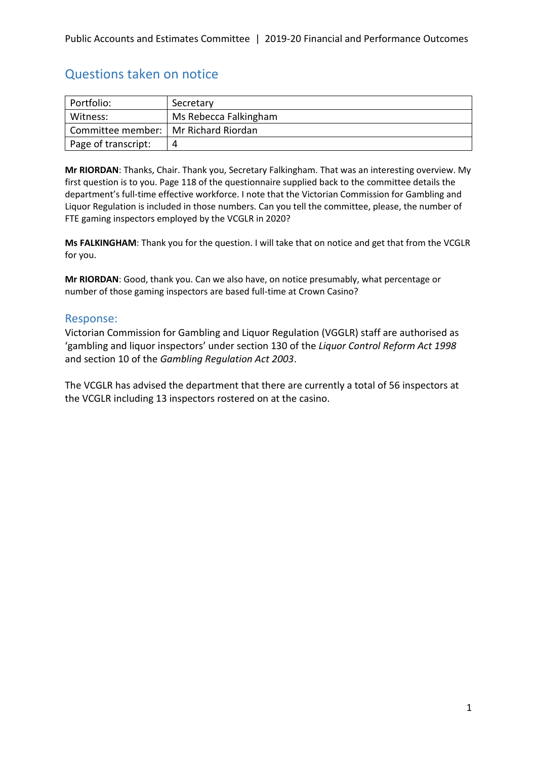# Questions taken on notice

| Portfolio:                             | Secretary             |
|----------------------------------------|-----------------------|
| Witness:                               | Ms Rebecca Falkingham |
| Committee member:   Mr Richard Riordan |                       |
| Page of transcript:                    | Д                     |

**Mr RIORDAN**: Thanks, Chair. Thank you, Secretary Falkingham. That was an interesting overview. My first question is to you. Page 118 of the questionnaire supplied back to the committee details the department's full-time effective workforce. I note that the Victorian Commission for Gambling and Liquor Regulation is included in those numbers. Can you tell the committee, please, the number of FTE gaming inspectors employed by the VCGLR in 2020?

**Ms FALKINGHAM**: Thank you for the question. I will take that on notice and get that from the VCGLR for you.

**Mr RIORDAN**: Good, thank you. Can we also have, on notice presumably, what percentage or number of those gaming inspectors are based full-time at Crown Casino?

## Response:

Victorian Commission for Gambling and Liquor Regulation (VGGLR) staff are authorised as 'gambling and liquor inspectors' under section 130 of the *Liquor Control Reform Act 1998* and section 10 of the *Gambling Regulation Act 2003*.

The VCGLR has advised the department that there are currently a total of 56 inspectors at the VCGLR including 13 inspectors rostered on at the casino.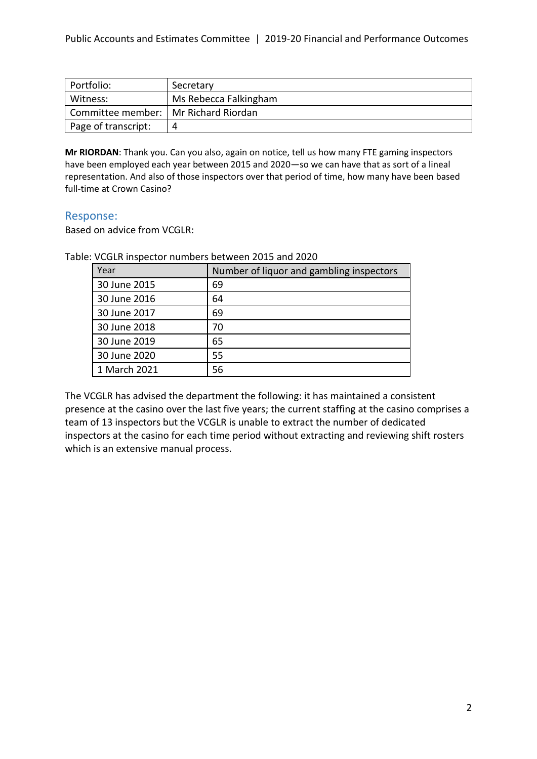| Portfolio:                             | Secretary             |
|----------------------------------------|-----------------------|
| Witness:                               | Ms Rebecca Falkingham |
| Committee member:   Mr Richard Riordan |                       |
| Page of transcript:                    | 4                     |

**Mr RIORDAN**: Thank you. Can you also, again on notice, tell us how many FTE gaming inspectors have been employed each year between 2015 and 2020—so we can have that as sort of a lineal representation. And also of those inspectors over that period of time, how many have been based full-time at Crown Casino?

## Response:

Based on advice from VCGLR:

Table: VCGLR inspector numbers between 2015 and 2020

| Year         | Number of liquor and gambling inspectors |
|--------------|------------------------------------------|
| 30 June 2015 | 69                                       |
| 30 June 2016 | 64                                       |
| 30 June 2017 | 69                                       |
| 30 June 2018 | 70                                       |
| 30 June 2019 | 65                                       |
| 30 June 2020 | 55                                       |
| 1 March 2021 | 56                                       |

The VCGLR has advised the department the following: it has maintained a consistent presence at the casino over the last five years; the current staffing at the casino comprises a team of 13 inspectors but the VCGLR is unable to extract the number of dedicated inspectors at the casino for each time period without extracting and reviewing shift rosters which is an extensive manual process.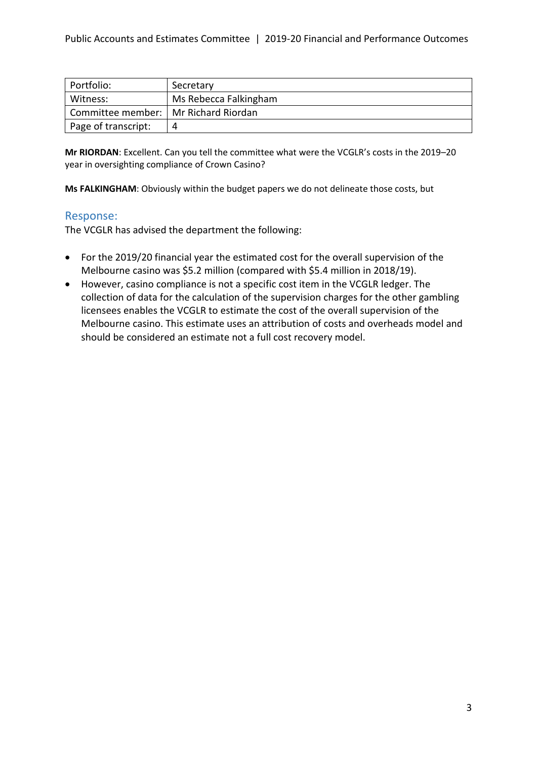| Portfolio:                             | Secretary             |
|----------------------------------------|-----------------------|
| Witness:                               | Ms Rebecca Falkingham |
| Committee member:   Mr Richard Riordan |                       |
| Page of transcript:                    | 4                     |

**Mr RIORDAN**: Excellent. Can you tell the committee what were the VCGLR's costs in the 2019–20 year in oversighting compliance of Crown Casino?

**Ms FALKINGHAM**: Obviously within the budget papers we do not delineate those costs, but

## Response:

The VCGLR has advised the department the following:

- For the 2019/20 financial year the estimated cost for the overall supervision of the Melbourne casino was \$5.2 million (compared with \$5.4 million in 2018/19).
- However, casino compliance is not a specific cost item in the VCGLR ledger. The collection of data for the calculation of the supervision charges for the other gambling licensees enables the VCGLR to estimate the cost of the overall supervision of the Melbourne casino. This estimate uses an attribution of costs and overheads model and should be considered an estimate not a full cost recovery model.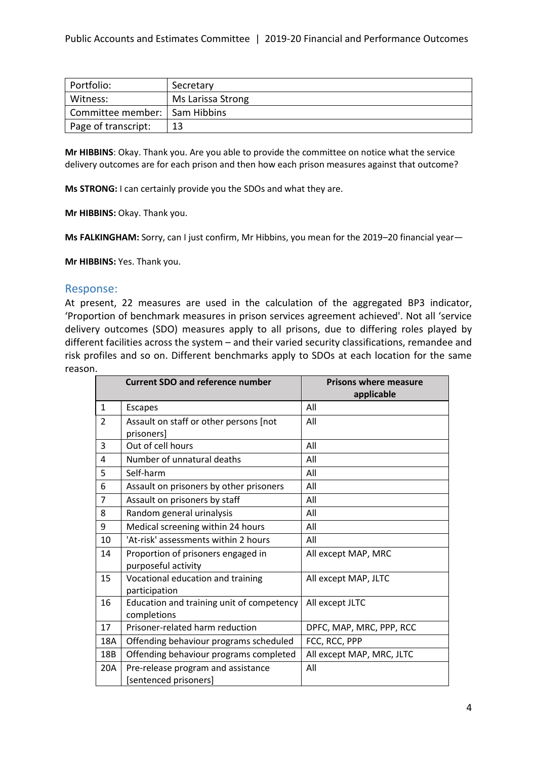| Portfolio:                      | Secretary         |
|---------------------------------|-------------------|
| Witness:                        | Ms Larissa Strong |
| Committee member:   Sam Hibbins |                   |
| Page of transcript:             | 13                |

**Mr HIBBINS**: Okay. Thank you. Are you able to provide the committee on notice what the service delivery outcomes are for each prison and then how each prison measures against that outcome?

**Ms STRONG:** I can certainly provide you the SDOs and what they are.

**Mr HIBBINS:** Okay. Thank you.

**Ms FALKINGHAM:** Sorry, can I just confirm, Mr Hibbins, you mean for the 2019–20 financial year—

**Mr HIBBINS:** Yes. Thank you.

#### Response:

At present, 22 measures are used in the calculation of the aggregated BP3 indicator, 'Proportion of benchmark measures in prison services agreement achieved'. Not all 'service delivery outcomes (SDO) measures apply to all prisons, due to differing roles played by different facilities across the system – and their varied security classifications, remandee and risk profiles and so on. Different benchmarks apply to SDOs at each location for the same reason.

|                | <b>Current SDO and reference number</b>   | <b>Prisons where measure</b><br>applicable |
|----------------|-------------------------------------------|--------------------------------------------|
| $\mathbf{1}$   | <b>Escapes</b>                            | All                                        |
| $\mathcal{P}$  | Assault on staff or other persons [not    | All                                        |
|                | prisoners]                                |                                            |
| 3              | Out of cell hours                         | All                                        |
| 4              | Number of unnatural deaths                | All                                        |
| 5              | Self-harm                                 | All                                        |
| 6              | Assault on prisoners by other prisoners   | All                                        |
| $\overline{7}$ | Assault on prisoners by staff             | All                                        |
| 8              | Random general urinalysis                 | All                                        |
| 9              | Medical screening within 24 hours         | All                                        |
| 10             | 'At-risk' assessments within 2 hours      | All                                        |
| 14             | Proportion of prisoners engaged in        | All except MAP, MRC                        |
|                | purposeful activity                       |                                            |
| 15             | Vocational education and training         | All except MAP, JLTC                       |
|                | participation                             |                                            |
| 16             | Education and training unit of competency | All except JLTC                            |
|                | completions                               |                                            |
| 17             | Prisoner-related harm reduction           | DPFC, MAP, MRC, PPP, RCC                   |
| 18A            | Offending behaviour programs scheduled    | FCC, RCC, PPP                              |
| 18B            | Offending behaviour programs completed    | All except MAP, MRC, JLTC                  |
| 20A            | Pre-release program and assistance        | All                                        |
|                | [sentenced prisoners]                     |                                            |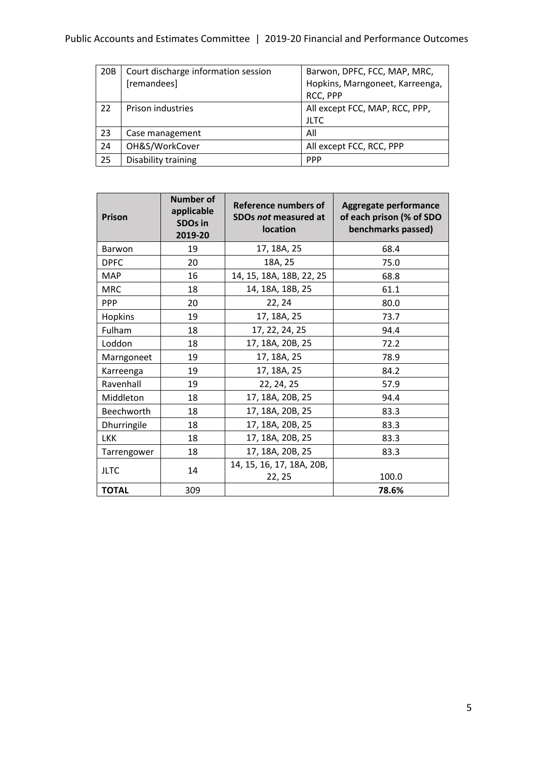# Public Accounts and Estimates Committee | 2019-20 Financial and Performance Outcomes

| 20 <sub>B</sub> | Court discharge information session | Barwon, DPFC, FCC, MAP, MRC,    |
|-----------------|-------------------------------------|---------------------------------|
|                 | [remandees]                         | Hopkins, Marngoneet, Karreenga, |
|                 |                                     | RCC, PPP                        |
| 22              | Prison industries                   | All except FCC, MAP, RCC, PPP,  |
|                 |                                     | <b>JLTC</b>                     |
| 23              | Case management                     | All                             |
| 24              | OH&S/WorkCover                      | All except FCC, RCC, PPP        |
| 25              | Disability training                 | <b>PPP</b>                      |

| <b>Prison</b> | <b>Number of</b><br>applicable<br><b>SDOs in</b><br>2019-20 | Reference numbers of<br>SDOs not measured at<br>location | Aggregate performance<br>of each prison (% of SDO<br>benchmarks passed) |
|---------------|-------------------------------------------------------------|----------------------------------------------------------|-------------------------------------------------------------------------|
| Barwon        | 19                                                          | 17, 18A, 25                                              | 68.4                                                                    |
| <b>DPFC</b>   | 20                                                          | 18A, 25                                                  | 75.0                                                                    |
| <b>MAP</b>    | 16                                                          | 14, 15, 18A, 18B, 22, 25                                 | 68.8                                                                    |
| <b>MRC</b>    | 18                                                          | 14, 18A, 18B, 25                                         | 61.1                                                                    |
| <b>PPP</b>    | 20                                                          | 22, 24                                                   | 80.0                                                                    |
| Hopkins       | 19                                                          | 17, 18A, 25                                              | 73.7                                                                    |
| Fulham        | 18                                                          | 17, 22, 24, 25                                           | 94.4                                                                    |
| Loddon        | 18                                                          | 17, 18A, 20B, 25                                         | 72.2                                                                    |
| Marngoneet    | 19                                                          | 17, 18A, 25                                              | 78.9                                                                    |
| Karreenga     | 19                                                          | 17, 18A, 25                                              | 84.2                                                                    |
| Ravenhall     | 19                                                          | 22, 24, 25                                               | 57.9                                                                    |
| Middleton     | 18                                                          | 17, 18A, 20B, 25                                         | 94.4                                                                    |
| Beechworth    | 18                                                          | 17, 18A, 20B, 25                                         | 83.3                                                                    |
| Dhurringile   | 18                                                          | 17, 18A, 20B, 25                                         | 83.3                                                                    |
| <b>LKK</b>    | 18                                                          | 17, 18A, 20B, 25                                         | 83.3                                                                    |
| Tarrengower   | 18                                                          | 17, 18A, 20B, 25                                         | 83.3                                                                    |
| <b>JLTC</b>   | 14                                                          | 14, 15, 16, 17, 18A, 20B,<br>22, 25                      | 100.0                                                                   |
| <b>TOTAL</b>  | 309                                                         |                                                          | 78.6%                                                                   |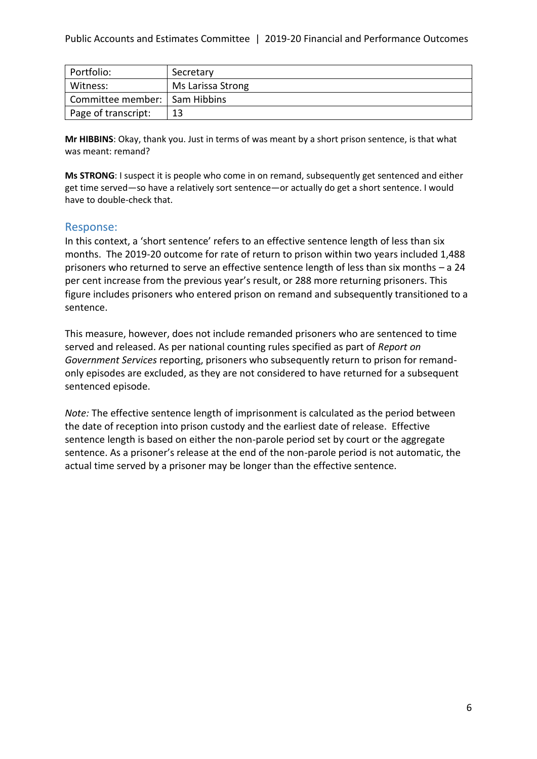| Portfolio:                      | Secretary         |
|---------------------------------|-------------------|
| Witness:                        | Ms Larissa Strong |
| Committee member:   Sam Hibbins |                   |
| Page of transcript:             | 13                |

**Mr HIBBINS**: Okay, thank you. Just in terms of was meant by a short prison sentence, is that what was meant: remand?

**Ms STRONG**: I suspect it is people who come in on remand, subsequently get sentenced and either get time served—so have a relatively sort sentence—or actually do get a short sentence. I would have to double-check that.

## Response:

In this context, a 'short sentence' refers to an effective sentence length of less than six months. The 2019-20 outcome for rate of return to prison within two years included 1,488 prisoners who returned to serve an effective sentence length of less than six months – a 24 per cent increase from the previous year's result, or 288 more returning prisoners. This figure includes prisoners who entered prison on remand and subsequently transitioned to a sentence.

This measure, however, does not include remanded prisoners who are sentenced to time served and released. As per national counting rules specified as part of *Report on Government Services* reporting, prisoners who subsequently return to prison for remandonly episodes are excluded, as they are not considered to have returned for a subsequent sentenced episode.

*Note:* The effective sentence length of imprisonment is calculated as the period between the date of reception into prison custody and the earliest date of release. Effective sentence length is based on either the non-parole period set by court or the aggregate sentence. As a prisoner's release at the end of the non-parole period is not automatic, the actual time served by a prisoner may be longer than the effective sentence.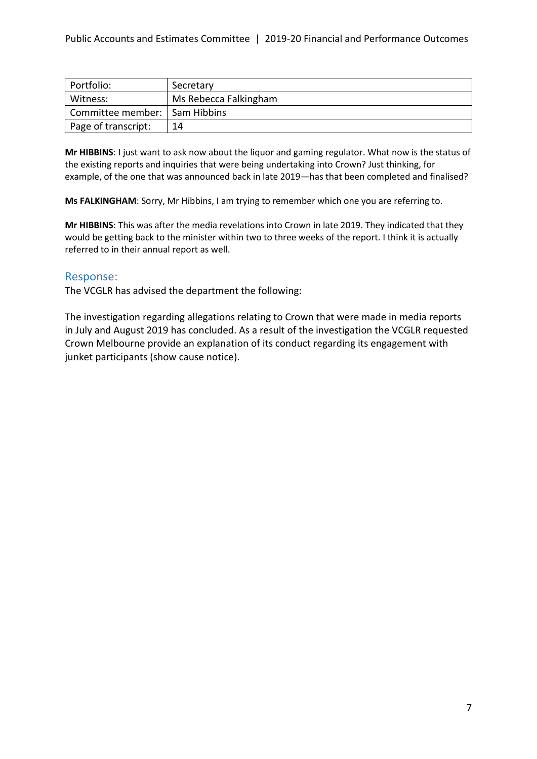| Portfolio:                      | Secretary             |
|---------------------------------|-----------------------|
| Witness:                        | Ms Rebecca Falkingham |
| Committee member:   Sam Hibbins |                       |
| Page of transcript:             | 14                    |

**Mr HIBBINS**: I just want to ask now about the liquor and gaming regulator. What now is the status of the existing reports and inquiries that were being undertaking into Crown? Just thinking, for example, of the one that was announced back in late 2019—has that been completed and finalised?

**Ms FALKINGHAM**: Sorry, Mr Hibbins, I am trying to remember which one you are referring to.

**Mr HIBBINS**: This was after the media revelations into Crown in late 2019. They indicated that they would be getting back to the minister within two to three weeks of the report. I think it is actually referred to in their annual report as well.

## Response:

The VCGLR has advised the department the following:

The investigation regarding allegations relating to Crown that were made in media reports in July and August 2019 has concluded. As a result of the investigation the VCGLR requested Crown Melbourne provide an explanation of its conduct regarding its engagement with junket participants (show cause notice).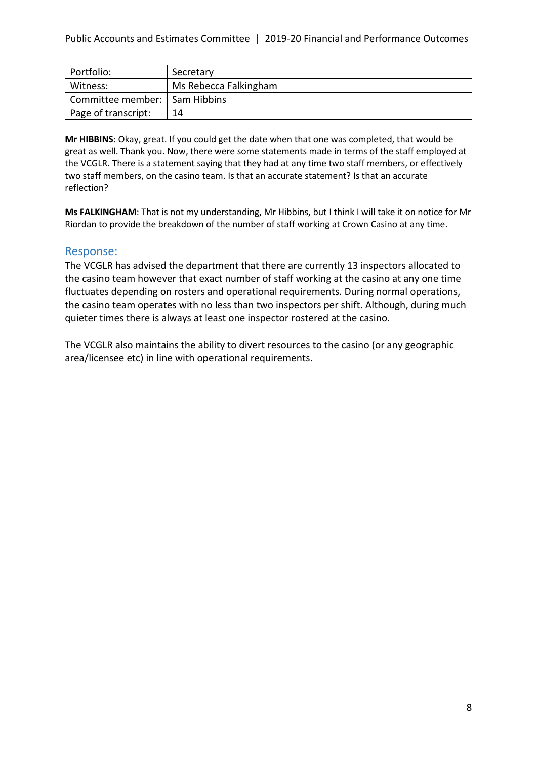| Portfolio:                      | Secretary             |
|---------------------------------|-----------------------|
| Witness:                        | Ms Rebecca Falkingham |
| Committee member:   Sam Hibbins |                       |
| Page of transcript:             | 14                    |

**Mr HIBBINS**: Okay, great. If you could get the date when that one was completed, that would be great as well. Thank you. Now, there were some statements made in terms of the staff employed at the VCGLR. There is a statement saying that they had at any time two staff members, or effectively two staff members, on the casino team. Is that an accurate statement? Is that an accurate reflection?

**Ms FALKINGHAM**: That is not my understanding, Mr Hibbins, but I think I will take it on notice for Mr Riordan to provide the breakdown of the number of staff working at Crown Casino at any time.

## Response:

The VCGLR has advised the department that there are currently 13 inspectors allocated to the casino team however that exact number of staff working at the casino at any one time fluctuates depending on rosters and operational requirements. During normal operations, the casino team operates with no less than two inspectors per shift. Although, during much quieter times there is always at least one inspector rostered at the casino.

The VCGLR also maintains the ability to divert resources to the casino (or any geographic area/licensee etc) in line with operational requirements.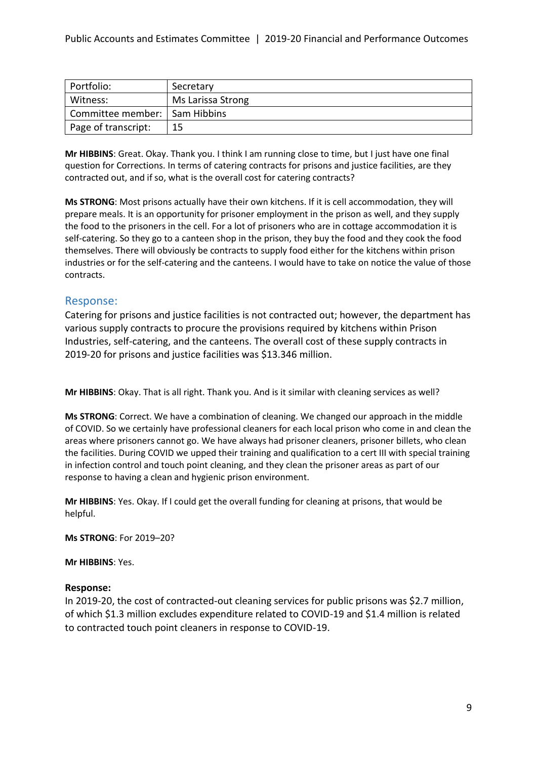| Portfolio:                      | Secretary         |
|---------------------------------|-------------------|
| Witness:                        | Ms Larissa Strong |
| Committee member:   Sam Hibbins |                   |
| Page of transcript:             | 15                |

**Mr HIBBINS**: Great. Okay. Thank you. I think I am running close to time, but I just have one final question for Corrections. In terms of catering contracts for prisons and justice facilities, are they contracted out, and if so, what is the overall cost for catering contracts?

**Ms STRONG**: Most prisons actually have their own kitchens. If it is cell accommodation, they will prepare meals. It is an opportunity for prisoner employment in the prison as well, and they supply the food to the prisoners in the cell. For a lot of prisoners who are in cottage accommodation it is self-catering. So they go to a canteen shop in the prison, they buy the food and they cook the food themselves. There will obviously be contracts to supply food either for the kitchens within prison industries or for the self-catering and the canteens. I would have to take on notice the value of those contracts.

## Response:

Catering for prisons and justice facilities is not contracted out; however, the department has various supply contracts to procure the provisions required by kitchens within Prison Industries, self-catering, and the canteens. The overall cost of these supply contracts in 2019-20 for prisons and justice facilities was \$13.346 million.

**Mr HIBBINS**: Okay. That is all right. Thank you. And is it similar with cleaning services as well?

**Ms STRONG**: Correct. We have a combination of cleaning. We changed our approach in the middle of COVID. So we certainly have professional cleaners for each local prison who come in and clean the areas where prisoners cannot go. We have always had prisoner cleaners, prisoner billets, who clean the facilities. During COVID we upped their training and qualification to a cert III with special training in infection control and touch point cleaning, and they clean the prisoner areas as part of our response to having a clean and hygienic prison environment.

**Mr HIBBINS**: Yes. Okay. If I could get the overall funding for cleaning at prisons, that would be helpful.

**Ms STRONG**: For 2019–20?

**Mr HIBBINS**: Yes.

#### **Response:**

In 2019-20, the cost of contracted-out cleaning services for public prisons was \$2.7 million, of which \$1.3 million excludes expenditure related to COVID-19 and \$1.4 million is related to contracted touch point cleaners in response to COVID-19.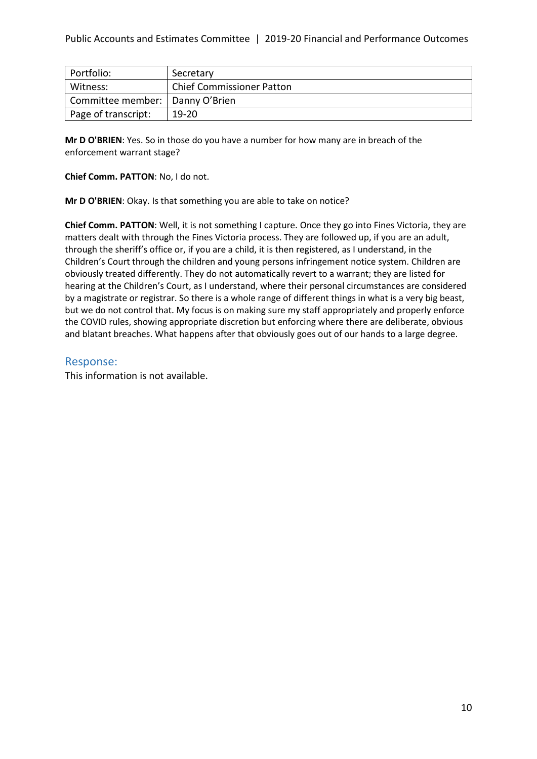| Portfolio:                        | Secretary                        |
|-----------------------------------|----------------------------------|
| Witness:                          | <b>Chief Commissioner Patton</b> |
| Committee member:   Danny O'Brien |                                  |
| Page of transcript:               | $19-20$                          |

**Mr D O'BRIEN**: Yes. So in those do you have a number for how many are in breach of the enforcement warrant stage?

**Chief Comm. PATTON**: No, I do not.

**Mr D O'BRIEN**: Okay. Is that something you are able to take on notice?

**Chief Comm. PATTON**: Well, it is not something I capture. Once they go into Fines Victoria, they are matters dealt with through the Fines Victoria process. They are followed up, if you are an adult, through the sheriff's office or, if you are a child, it is then registered, as I understand, in the Children's Court through the children and young persons infringement notice system. Children are obviously treated differently. They do not automatically revert to a warrant; they are listed for hearing at the Children's Court, as I understand, where their personal circumstances are considered by a magistrate or registrar. So there is a whole range of different things in what is a very big beast, but we do not control that. My focus is on making sure my staff appropriately and properly enforce the COVID rules, showing appropriate discretion but enforcing where there are deliberate, obvious and blatant breaches. What happens after that obviously goes out of our hands to a large degree.

### Response:

This information is not available.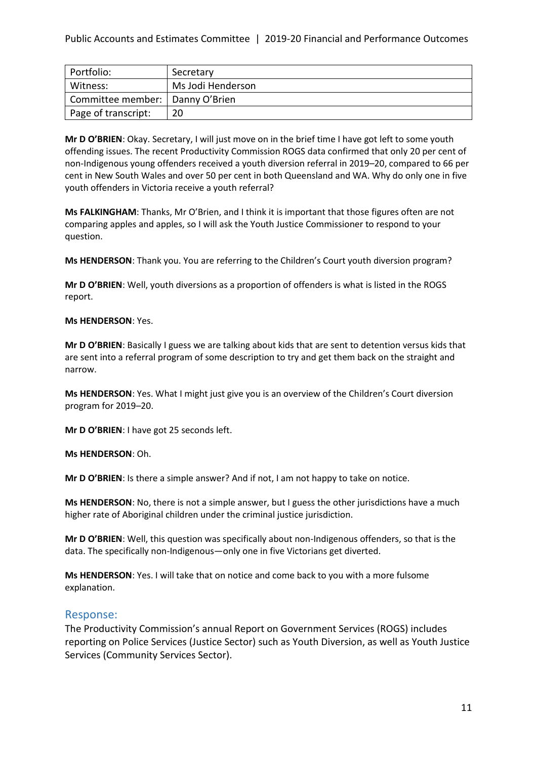| Portfolio:                        | Secretary         |
|-----------------------------------|-------------------|
| Witness:                          | Ms Jodi Henderson |
| Committee member:   Danny O'Brien |                   |
| Page of transcript:               | 20                |

**Mr D O'BRIEN**: Okay. Secretary, I will just move on in the brief time I have got left to some youth offending issues. The recent Productivity Commission ROGS data confirmed that only 20 per cent of non-Indigenous young offenders received a youth diversion referral in 2019–20, compared to 66 per cent in New South Wales and over 50 per cent in both Queensland and WA. Why do only one in five youth offenders in Victoria receive a youth referral?

**Ms FALKINGHAM**: Thanks, Mr O'Brien, and I think it is important that those figures often are not comparing apples and apples, so I will ask the Youth Justice Commissioner to respond to your question.

**Ms HENDERSON**: Thank you. You are referring to the Children's Court youth diversion program?

**Mr D O'BRIEN**: Well, youth diversions as a proportion of offenders is what is listed in the ROGS report.

#### **Ms HENDERSON**: Yes.

**Mr D O'BRIEN**: Basically I guess we are talking about kids that are sent to detention versus kids that are sent into a referral program of some description to try and get them back on the straight and narrow.

**Ms HENDERSON**: Yes. What I might just give you is an overview of the Children's Court diversion program for 2019–20.

**Mr D O'BRIEN**: I have got 25 seconds left.

**Ms HENDERSON**: Oh.

**Mr D O'BRIEN**: Is there a simple answer? And if not, I am not happy to take on notice.

**Ms HENDERSON**: No, there is not a simple answer, but I guess the other jurisdictions have a much higher rate of Aboriginal children under the criminal justice jurisdiction.

**Mr D O'BRIEN**: Well, this question was specifically about non-Indigenous offenders, so that is the data. The specifically non-Indigenous—only one in five Victorians get diverted.

**Ms HENDERSON**: Yes. I will take that on notice and come back to you with a more fulsome explanation.

## Response:

The Productivity Commission's annual Report on Government Services (ROGS) includes reporting on Police Services (Justice Sector) such as Youth Diversion, as well as Youth Justice Services (Community Services Sector).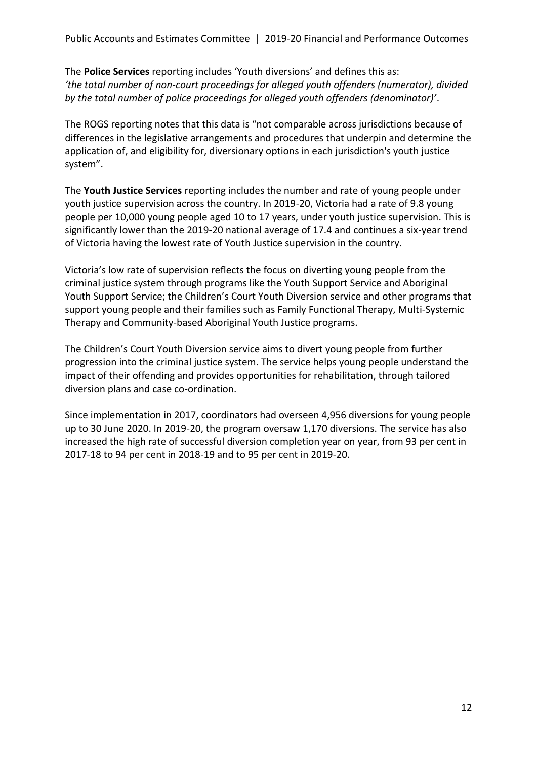The **Police Services** reporting includes 'Youth diversions' and defines this as: *'the total number of non-court proceedings for alleged youth offenders (numerator), divided by the total number of police proceedings for alleged youth offenders (denominator)'*.

The ROGS reporting notes that this data is "not comparable across jurisdictions because of differences in the legislative arrangements and procedures that underpin and determine the application of, and eligibility for, diversionary options in each jurisdiction's youth justice system".

The **Youth Justice Services** reporting includes the number and rate of young people under youth justice supervision across the country. In 2019-20, Victoria had a rate of 9.8 young people per 10,000 young people aged 10 to 17 years, under youth justice supervision. This is significantly lower than the 2019-20 national average of 17.4 and continues a six-year trend of Victoria having the lowest rate of Youth Justice supervision in the country.

Victoria's low rate of supervision reflects the focus on diverting young people from the criminal justice system through programs like the Youth Support Service and Aboriginal Youth Support Service; the Children's Court Youth Diversion service and other programs that support young people and their families such as Family Functional Therapy, Multi-Systemic Therapy and Community-based Aboriginal Youth Justice programs.

The Children's Court Youth Diversion service aims to divert young people from further progression into the criminal justice system. The service helps young people understand the impact of their offending and provides opportunities for rehabilitation, through tailored diversion plans and case co-ordination.

Since implementation in 2017, coordinators had overseen 4,956 diversions for young people up to 30 June 2020. In 2019-20, the program oversaw 1,170 diversions. The service has also increased the high rate of successful diversion completion year on year, from 93 per cent in 2017-18 to 94 per cent in 2018-19 and to 95 per cent in 2019-20.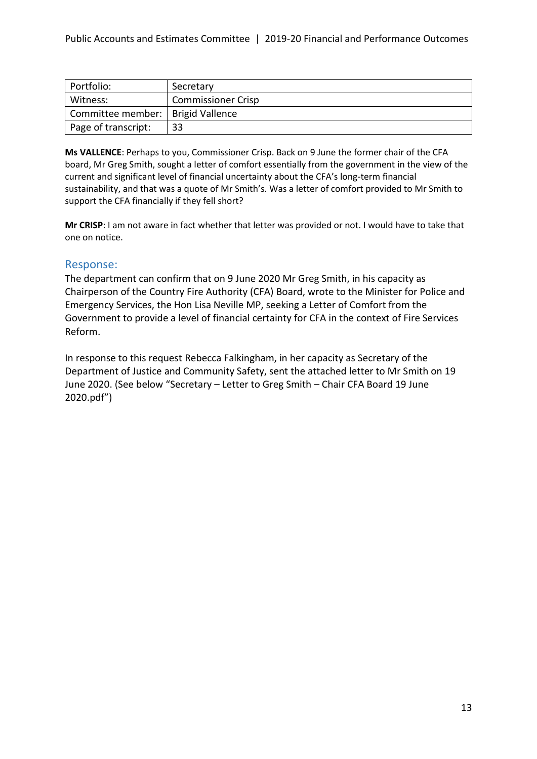| Portfolio:                          | Secretary                 |
|-------------------------------------|---------------------------|
| Witness:                            | <b>Commissioner Crisp</b> |
| Committee member:   Brigid Vallence |                           |
| Page of transcript:                 | 33                        |

**Ms VALLENCE**: Perhaps to you, Commissioner Crisp. Back on 9 June the former chair of the CFA board, Mr Greg Smith, sought a letter of comfort essentially from the government in the view of the current and significant level of financial uncertainty about the CFA's long-term financial sustainability, and that was a quote of Mr Smith's. Was a letter of comfort provided to Mr Smith to support the CFA financially if they fell short?

**Mr CRISP**: I am not aware in fact whether that letter was provided or not. I would have to take that one on notice.

## Response:

The department can confirm that on 9 June 2020 Mr Greg Smith, in his capacity as Chairperson of the Country Fire Authority (CFA) Board, wrote to the Minister for Police and Emergency Services, the Hon Lisa Neville MP, seeking a Letter of Comfort from the Government to provide a level of financial certainty for CFA in the context of Fire Services Reform.

In response to this request Rebecca Falkingham, in her capacity as Secretary of the Department of Justice and Community Safety, sent the attached letter to Mr Smith on 19 June 2020. (See below "Secretary – Letter to Greg Smith – Chair CFA Board 19 June 2020.pdf")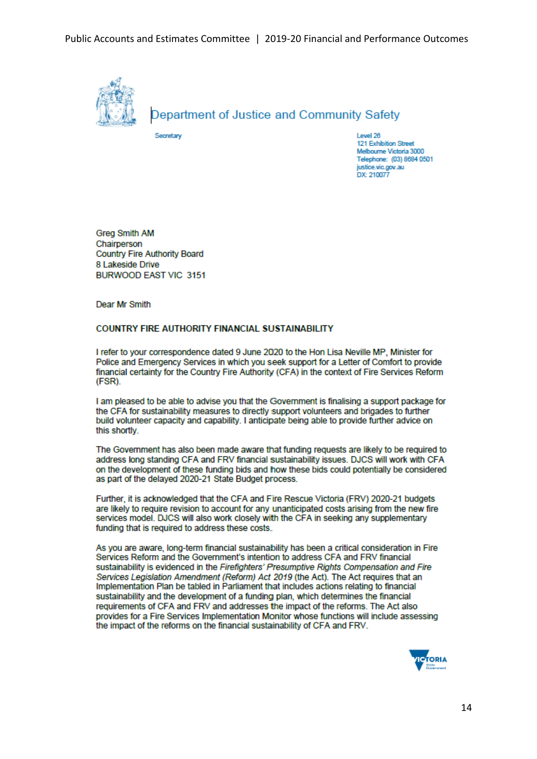

## Department of Justice and Community Safety

Secretary

Level 26 121 Exhibition Street Melbourne Victoria 3000 Telephone: (03) 8684 0501 justice.vic.gov.au DX: 210077

**Grea Smith AM** Chairperson **Country Fire Authority Board** 8 Lakeside Drive BURWOOD EAST VIC 3151

Dear Mr Smith

#### **COUNTRY FIRE AUTHORITY FINANCIAL SUSTAINABILITY**

I refer to your correspondence dated 9 June 2020 to the Hon Lisa Neville MP, Minister for Police and Emergency Services in which you seek support for a Letter of Comfort to provide financial certainty for the Country Fire Authority (CFA) in the context of Fire Services Reform (FSR).

I am pleased to be able to advise you that the Government is finalising a support package for the CFA for sustainability measures to directly support volunteers and brigades to further build volunteer capacity and capability. I anticipate being able to provide further advice on this shortly

The Government has also been made aware that funding requests are likely to be required to address long standing CFA and FRV financial sustainability issues. DJCS will work with CFA on the development of these funding bids and how these bids could potentially be considered as part of the delayed 2020-21 State Budget process.

Further, it is acknowledged that the CFA and Fire Rescue Victoria (FRV) 2020-21 budgets are likely to require revision to account for any unanticipated costs arising from the new fire services model. DJCS will also work closely with the CFA in seeking any supplementary funding that is required to address these costs.

As you are aware, long-term financial sustainability has been a critical consideration in Fire Services Reform and the Government's intention to address CFA and FRV financial sustainability is evidenced in the Firefighters' Presumptive Rights Compensation and Fire Services Legislation Amendment (Reform) Act 2019 (the Act). The Act requires that an Implementation Plan be tabled in Parliament that includes actions relating to financial sustainability and the development of a funding plan, which determines the financial requirements of CFA and FRV and addresses the impact of the reforms. The Act also provides for a Fire Services Implementation Monitor whose functions will include assessing the impact of the reforms on the financial sustainability of CFA and FRV.

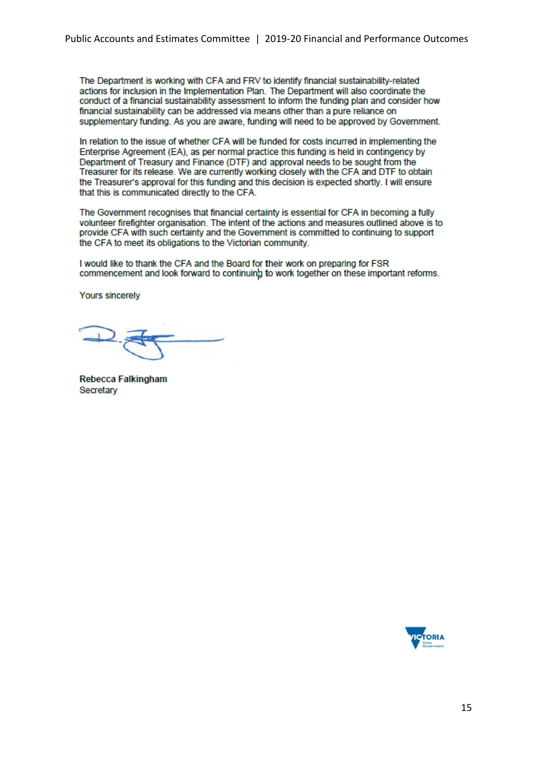The Department is working with CFA and FRV to identify financial sustainability-related actions for inclusion in the Implementation Plan. The Department will also coordinate the conduct of a financial sustainability assessment to inform the funding plan and consider how financial sustainability can be addressed via means other than a pure reliance on supplementary funding. As you are aware, funding will need to be approved by Government.

In relation to the issue of whether CFA will be funded for costs incurred in implementing the Enterprise Agreement (EA), as per normal practice this funding is held in contingency by Department of Treasury and Finance (DTF) and approval needs to be sought from the Treasurer for its release. We are currently working closely with the CFA and DTF to obtain the Treasurer's approval for this funding and this decision is expected shortly. I will ensure that this is communicated directly to the CFA.

The Government recognises that financial certainty is essential for CFA in becoming a fully volunteer firefighter organisation. The intent of the actions and measures outlined above is to provide CFA with such certainty and the Government is committed to continuing to support the CFA to meet its obligations to the Victorian community.

I would like to thank the CFA and the Board for their work on preparing for FSR commencement and look forward to continuing to work together on these important reforms.

**Yours sincerely** 

**Rebecca Falkingham** Secretary

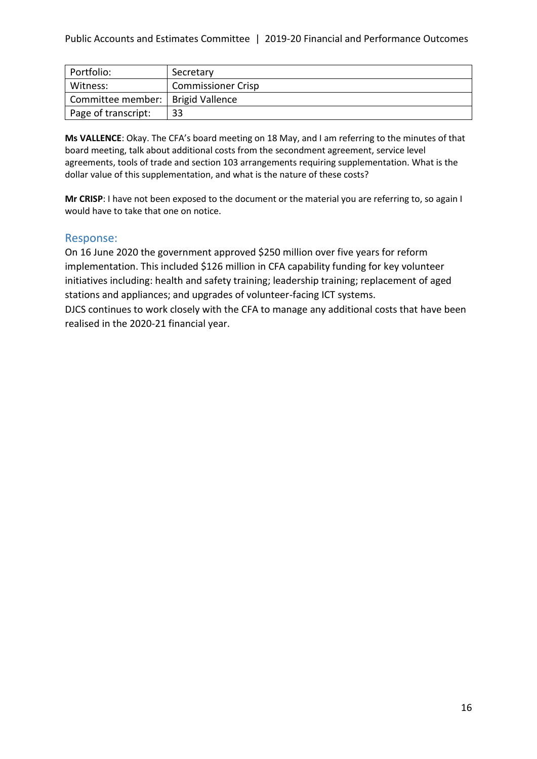| Portfolio:          | Secretary                 |
|---------------------|---------------------------|
| Witness:            | <b>Commissioner Crisp</b> |
| Committee member:   | <b>Brigid Vallence</b>    |
| Page of transcript: | 33                        |

**Ms VALLENCE**: Okay. The CFA's board meeting on 18 May, and I am referring to the minutes of that board meeting, talk about additional costs from the secondment agreement, service level agreements, tools of trade and section 103 arrangements requiring supplementation. What is the dollar value of this supplementation, and what is the nature of these costs?

**Mr CRISP**: I have not been exposed to the document or the material you are referring to, so again I would have to take that one on notice.

## Response:

On 16 June 2020 the government approved \$250 million over five years for reform implementation. This included \$126 million in CFA capability funding for key volunteer initiatives including: health and safety training; leadership training; replacement of aged stations and appliances; and upgrades of volunteer-facing ICT systems.

DJCS continues to work closely with the CFA to manage any additional costs that have been realised in the 2020-21 financial year.